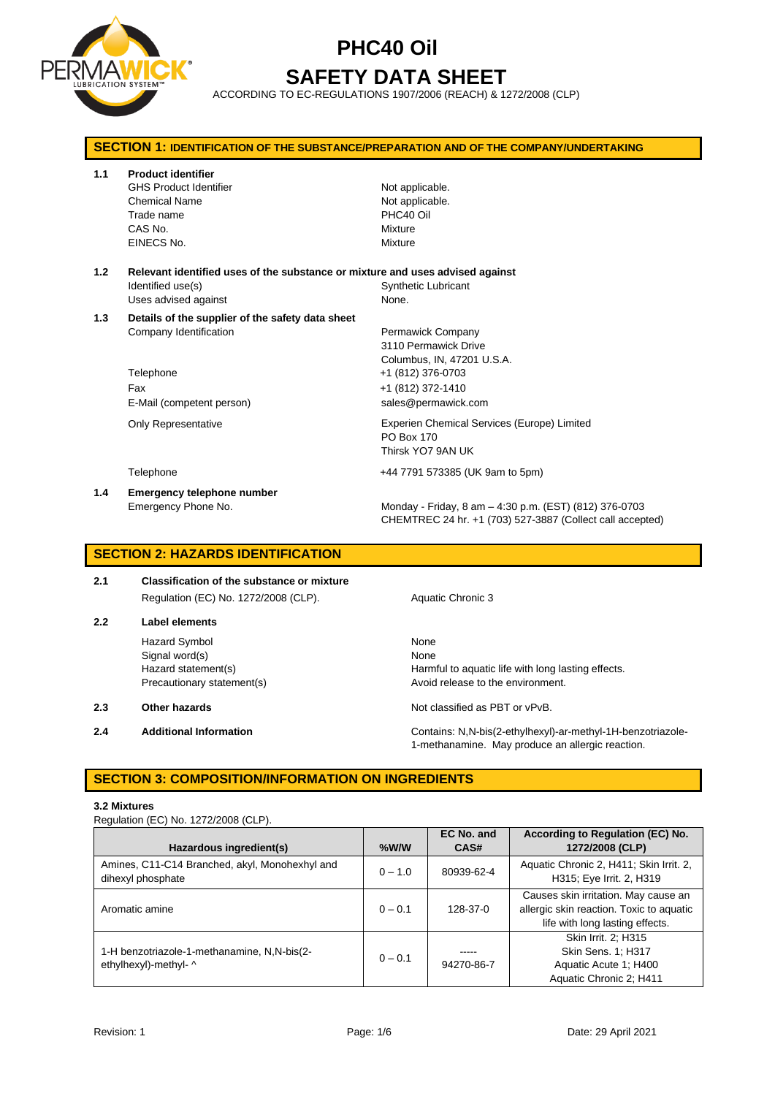

# **PHC40 Oil SAFETY DATA SHEET**

ACCORDING TO EC-REGULATIONS 1907/2006 (REACH) & 1272/2008 (CLP)

| <b>SECTION 1: IDENTIFICATION OF THE SUBSTANCE/PREPARATION AND OF THE COMPANY/UNDERTAKING</b> |                                                                                                                             |                                                                                                                                          |  |  |
|----------------------------------------------------------------------------------------------|-----------------------------------------------------------------------------------------------------------------------------|------------------------------------------------------------------------------------------------------------------------------------------|--|--|
| 1.1                                                                                          | <b>Product identifier</b><br><b>GHS Product Identifier</b><br><b>Chemical Name</b><br>Trade name<br>CAS No.<br>EINECS No.   | Not applicable.<br>Not applicable.<br>PHC40 Oil<br>Mixture<br>Mixture                                                                    |  |  |
| 1.2                                                                                          | Relevant identified uses of the substance or mixture and uses advised against<br>Identified use(s)<br>Uses advised against  | <b>Synthetic Lubricant</b><br>None.                                                                                                      |  |  |
| 1.3                                                                                          | Details of the supplier of the safety data sheet<br>Company Identification<br>Telephone<br>Fax<br>E-Mail (competent person) | Permawick Company<br>3110 Permawick Drive<br>Columbus, IN, 47201 U.S.A.<br>+1 (812) 376-0703<br>+1 (812) 372-1410<br>sales@permawick.com |  |  |
|                                                                                              | <b>Only Representative</b>                                                                                                  | Experien Chemical Services (Europe) Limited<br>PO Box 170<br>Thirsk YO7 9AN UK                                                           |  |  |
|                                                                                              | Telephone                                                                                                                   | +44 7791 573385 (UK 9am to 5pm)                                                                                                          |  |  |
| 1.4                                                                                          | Emergency telephone number<br>Emergency Phone No.                                                                           | Monday - Friday, 8 am - 4:30 p.m. (EST) (812) 376-0703<br>CHEMTREC 24 hr. +1 (703) 527-3887 (Collect call accepted)                      |  |  |

## **SECTION 2: HAZARDS IDENTIFICATION**

**2.1 Classification of the substance or mixture** Regulation (EC) No. 1272/2008 (CLP). Aquatic Chronic 3

**2.2 Label elements**

Hazard Symbol None Signal word(s) None

- 
- 

Hazard statement(s) **Harmful to aquatic life with long lasting effects.** Precautionary statement(s) example a metal avoid release to the environment.

**2.3 Other hazards Details According to the COV of COVID-100** Not classified as PBT or vPvB.

**2.4 Additional Information** Contains: N,N-bis(2-ethylhexyl)-ar-methyl-1H-benzotriazole-1-methanamine. May produce an allergic reaction.

### **SECTION 3: COMPOSITION/INFORMATION ON INGREDIENTS**

### **3.2 Mixtures**

Regulation (EC) No. 1272/2008 (CLP).

| Hazardous ingredient(s)                                              | %W/W      | EC No. and<br>CAS# | According to Regulation (EC) No.<br>1272/2008 (CLP)                                                                 |
|----------------------------------------------------------------------|-----------|--------------------|---------------------------------------------------------------------------------------------------------------------|
| Amines, C11-C14 Branched, akyl, Monohexhyl and<br>dihexyl phosphate  | $0 - 1.0$ | 80939-62-4         | Aquatic Chronic 2, H411; Skin Irrit. 2,<br>H315; Eye Irrit. 2, H319                                                 |
| Aromatic amine                                                       | $0 - 0.1$ | 128-37-0           | Causes skin irritation. May cause an<br>allergic skin reaction. Toxic to aquatic<br>life with long lasting effects. |
| 1-H benzotriazole-1-methanamine, N,N-bis(2-<br>ethylhexyl)-methyl- ^ | $0 - 0.1$ | 94270-86-7         | Skin Irrit. 2: H315<br>Skin Sens. 1; H317<br>Aquatic Acute 1: H400<br>Aquatic Chronic 2; H411                       |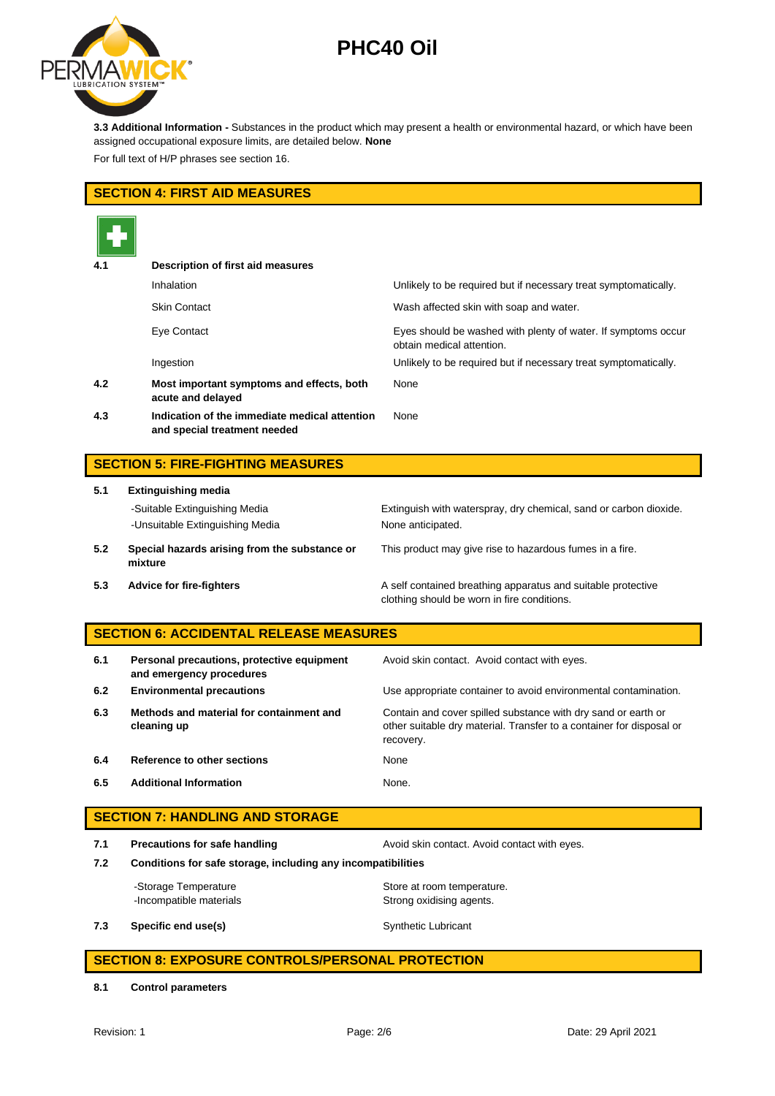

**3.3 Additional Information -** Substances in the product which may present a health or environmental hazard, or which have been assigned occupational exposure limits, are detailed below. **None**

For full text of H/P phrases see section 16.

### **SECTION 4: FIRST AID MEASURES**

| 4.1 | Description of first aid measures                                             |                                                                                            |
|-----|-------------------------------------------------------------------------------|--------------------------------------------------------------------------------------------|
|     | Inhalation                                                                    | Unlikely to be required but if necessary treat symptomatically.                            |
|     | <b>Skin Contact</b>                                                           | Wash affected skin with soap and water.                                                    |
|     | Eye Contact                                                                   | Eyes should be washed with plenty of water. If symptoms occur<br>obtain medical attention. |
|     | Ingestion                                                                     | Unlikely to be required but if necessary treat symptomatically.                            |
| 4.2 | Most important symptoms and effects, both<br>acute and delayed                | None                                                                                       |
| 4.3 | Indication of the immediate medical attention<br>and special treatment needed | None                                                                                       |

## **SECTION 5: FIRE-FIGHTING MEASURES**

| 5.1 | <b>Extinguishing media</b>                                       |                                                                                        |  |  |
|-----|------------------------------------------------------------------|----------------------------------------------------------------------------------------|--|--|
|     | -Suitable Extinguishing Media<br>-Unsuitable Extinguishing Media | Extinguish with waterspray, dry chemical, sand or carbon dioxide.<br>None anticipated. |  |  |
| 5.2 | Special hazards arising from the substance or<br>mixture         | This product may give rise to hazardous fumes in a fire.                               |  |  |
| 53  | Advice for fire-fighters                                         | A self contained breathing apparatus and suitable protective                           |  |  |

**Advice for fire-fighters A self contained breathing apparatus and suitable protective** clothing should be worn in fire conditions.

### **SECTION 6: ACCIDENTAL RELEASE MEASURES**

| 6.1 | Personal precautions, protective equipment<br>and emergency procedures | Avoid skin contact. Avoid contact with eyes.                                                                                                       |
|-----|------------------------------------------------------------------------|----------------------------------------------------------------------------------------------------------------------------------------------------|
| 6.2 | <b>Environmental precautions</b>                                       | Use appropriate container to avoid environmental contamination.                                                                                    |
| 6.3 | Methods and material for containment and<br>cleaning up                | Contain and cover spilled substance with dry sand or earth or<br>other suitable dry material. Transfer to a container for disposal or<br>recovery. |
| 6.4 | Reference to other sections                                            | None                                                                                                                                               |
| 6.5 | <b>Additional Information</b>                                          | None.                                                                                                                                              |

### **SECTION 7: HANDLING AND STORAGE**

**7.1 Precautions for safe handling Avoid skin contact. Avoid contact with eyes.** 

**7.2 Conditions for safe storage, including any incompatibilities**

-Storage Temperature **Store at room temperature.** -Incompatible materials **Strong oxidising agents**.

**7.3 Specific end use(s)** Synthetic Lubricant

### **SECTION 8: EXPOSURE CONTROLS/PERSONAL PROTECTION**

**8.1 Control parameters**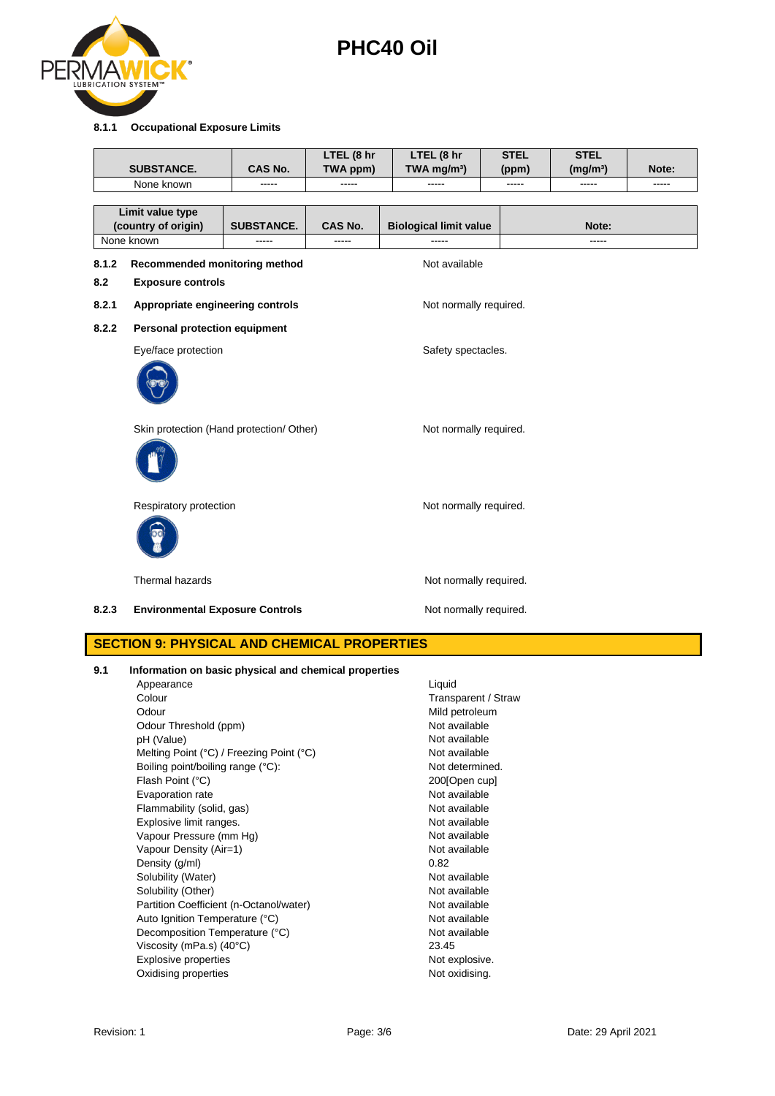

### **8.1.1 Occupational Exposure Limits**

|       | <b>SUBSTANCE.</b>                        | <b>CAS No.</b>    | LTEL (8 hr<br>TWA ppm) | LTEL (8 hr<br>TWA mg/m <sup>3</sup> ) | <b>STEL</b><br>(ppm) | <b>STEL</b><br>(mg/m <sup>3</sup> ) | Note: |
|-------|------------------------------------------|-------------------|------------------------|---------------------------------------|----------------------|-------------------------------------|-------|
|       | None known                               | -----             |                        | -----                                 | -----                | -----                               | ----- |
|       |                                          |                   |                        |                                       |                      |                                     |       |
|       | Limit value type                         |                   |                        |                                       |                      |                                     |       |
|       | (country of origin)<br>None known        | <b>SUBSTANCE.</b> | <b>CAS No.</b>         | <b>Biological limit value</b>         |                      | Note:<br>-----                      |       |
|       |                                          |                   |                        |                                       |                      |                                     |       |
| 8.1.2 | Recommended monitoring method            |                   |                        | Not available                         |                      |                                     |       |
| 8.2   | <b>Exposure controls</b>                 |                   |                        |                                       |                      |                                     |       |
| 8.2.1 | Appropriate engineering controls         |                   |                        | Not normally required.                |                      |                                     |       |
| 8.2.2 | Personal protection equipment            |                   |                        |                                       |                      |                                     |       |
|       | Eye/face protection                      |                   |                        | Safety spectacles.                    |                      |                                     |       |
|       |                                          |                   |                        |                                       |                      |                                     |       |
|       | Skin protection (Hand protection/ Other) |                   |                        | Not normally required.                |                      |                                     |       |
|       | Respiratory protection                   |                   |                        | Not normally required.                |                      |                                     |       |
|       | <b>Thermal hazards</b>                   |                   |                        | Not normally required.                |                      |                                     |       |
| 8.2.3 | <b>Environmental Exposure Controls</b>   |                   |                        | Not normally required.                |                      |                                     |       |
|       |                                          |                   |                        |                                       |                      |                                     |       |

## **SECTION 9: PHYSICAL AND CHEMICAL PROPERTIES**

| 9.1 | Information on basic physical and chemical properties |  |  |  |  |
|-----|-------------------------------------------------------|--|--|--|--|
|-----|-------------------------------------------------------|--|--|--|--|

Appearance Liquid Colour **Transparent / Straw** Odour Mild petroleum<br>
Odour Threshold (ppm) example and the Mot available Not available Odour Threshold (ppm) Not available<br>
of (Value) Not available<br>
Not available pH (Value) Melting Point (°C) / Freezing Point (°C) Not available Boiling point/boiling range (°C): Not determined. Flash Point (°C) 200[Open cup] Evaporation rate Not available Flammability (solid, gas) Not available Explosive limit ranges. The state of the state of the Not available Vapour Pressure (mm Hg) <br>Vapour Density (Air=1) Not available<br>Vapour Density (Air=1) Vapour Density (Air=1)  $\frac{1}{2}$  Not available 10.82 Density (g/ml) Solubility (Water) Not available Solubility (Other) Not available Partition Coefficient (n-Octanol/water) Not available Auto Ignition Temperature (°C)<br>
Decomposition Temperature (°C) Not available Decomposition Temperature (°C) Viscosity (mPa.s) (40°C) 23.45 Explosive properties **Not explosive.** Not explosive. Oxidising properties Not oxidising.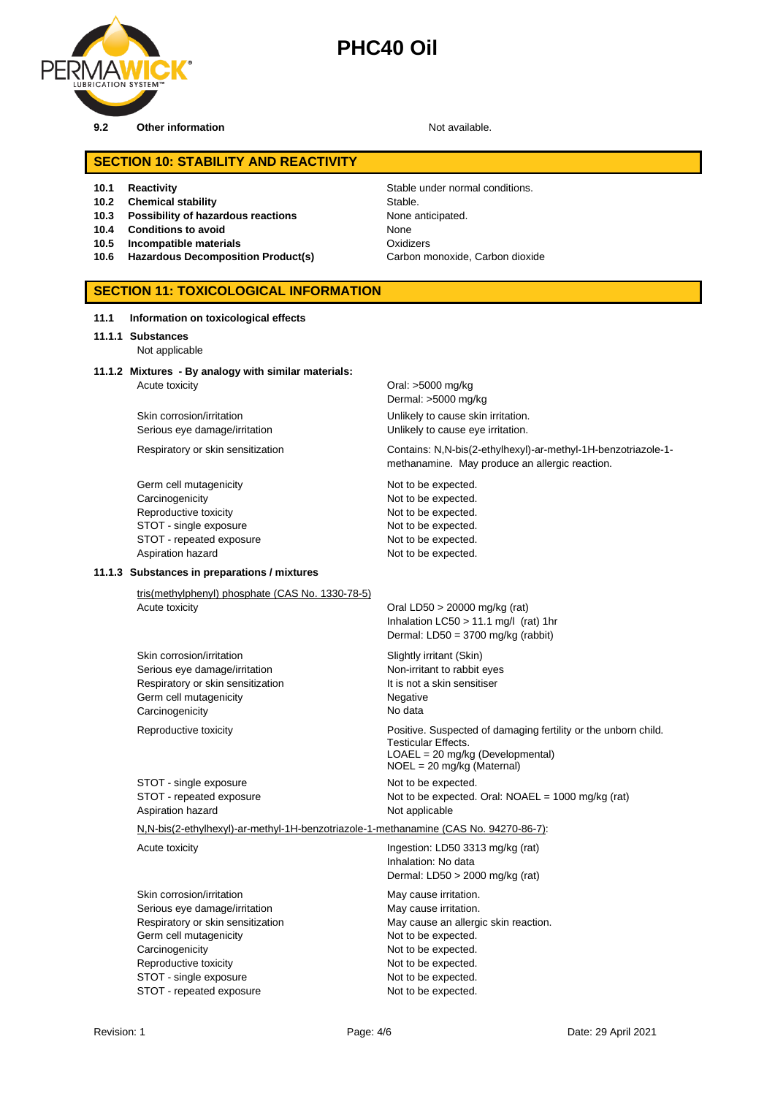

### **SECTION 10: STABILITY AND REACTIVITY**

- 
- **10.2 Chemical stability** Stable.
- **10.3 Possibility of hazardous reactions** None anticipated.
- **10.4 Conditions to avoid** None
- 
- **10.6 Hazardous Decomposition Product(s)**

**10.1 Reactivity Constraining Stable under normal conditions. 10.5 Incompatible materials**<br>**10.6 Hazardous Decomposition Product(s)** Carbon monoxide, Carbon dioxide

### **SECTION 11: TOXICOLOGICAL INFORMATION**

|  | Information on toxicological effects |  | 11.1 |
|--|--------------------------------------|--|------|
|--|--------------------------------------|--|------|

### **11.1.1 Substances** Not applicable

## **11.1.2 Mixtures - By analogy with similar materials:**

Acute toxicity **Oral: >5000 mg/kg** 

Germ cell mutagenicity **Not to be expected.** Not to be expected. Carcinogenicity **Not to be expected.** Reproductive toxicity Not to be expected. STOT - single exposure Not to be expected. STOT - repeated exposure Not to be expected. Aspiration hazard **Not to be expected.** 

Dermal: >5000 mg/kg Skin corrosion/irritation **Skin corrosion/irritation** Unlikely to cause skin irritation. Serious eye damage/irritation **Exercise 20** Unlikely to cause eye irritation.

Respiratory or skin sensitization Contains: N,N-bis(2-ethylhexyl)-ar-methyl-1H-benzotriazole-1 methanamine. May produce an allergic reaction.

### **11.1.3 Substances in preparations / mixtures**

tris(methylphenyl) phosphate (CAS No. 1330-78-5)<br>Acute toxicity

Skin corrosion/irritation Skin Slightly irritant (Skin) Serious eye damage/irritation Non-irritant to rabbit eyes Respiratory or skin sensitization It is not a skin sensitiser Germ cell mutagenicity **Negative** Negative Carcinogenicity **No data** 

STOT - single exposure Not to be expected. Aspiration hazard **Not applicable** Not applicable

Oral LD50  $>$  20000 mg/kg (rat) Inhalation LC50 > 11.1 mg/l (rat) 1hr Dermal: LD50 = 3700 mg/kg (rabbit)

Reproductive toxicity Positive. Suspected of damaging fertility or the unborn child. Testicular Effects. LOAEL = 20 mg/kg (Developmental) NOEL = 20 mg/kg (Maternal) STOT - repeated exposure Not to be expected. Oral: NOAEL = 1000 mg/kg (rat)

N,N-bis(2-ethylhexyl)-ar-methyl-1H-benzotriazole-1-methanamine (CAS No. 94270-86-7):

Skin corrosion/irritation May cause irritation. Serious eye damage/irritation May cause irritation. Germ cell mutagenicity expected. Carcinogenicity Carcinogenicity Carcinogenicity Not to be expected. Reproductive toxicity Not to be expected. STOT - single exposure Not to be expected. STOT - repeated exposure Not to be expected.

Acute toxicity **Ingestion:** LD50 3313 mg/kg (rat) Inhalation: No data Dermal: LD50 > 2000 mg/kg (rat)

Respiratory or skin sensitization May cause an allergic skin reaction.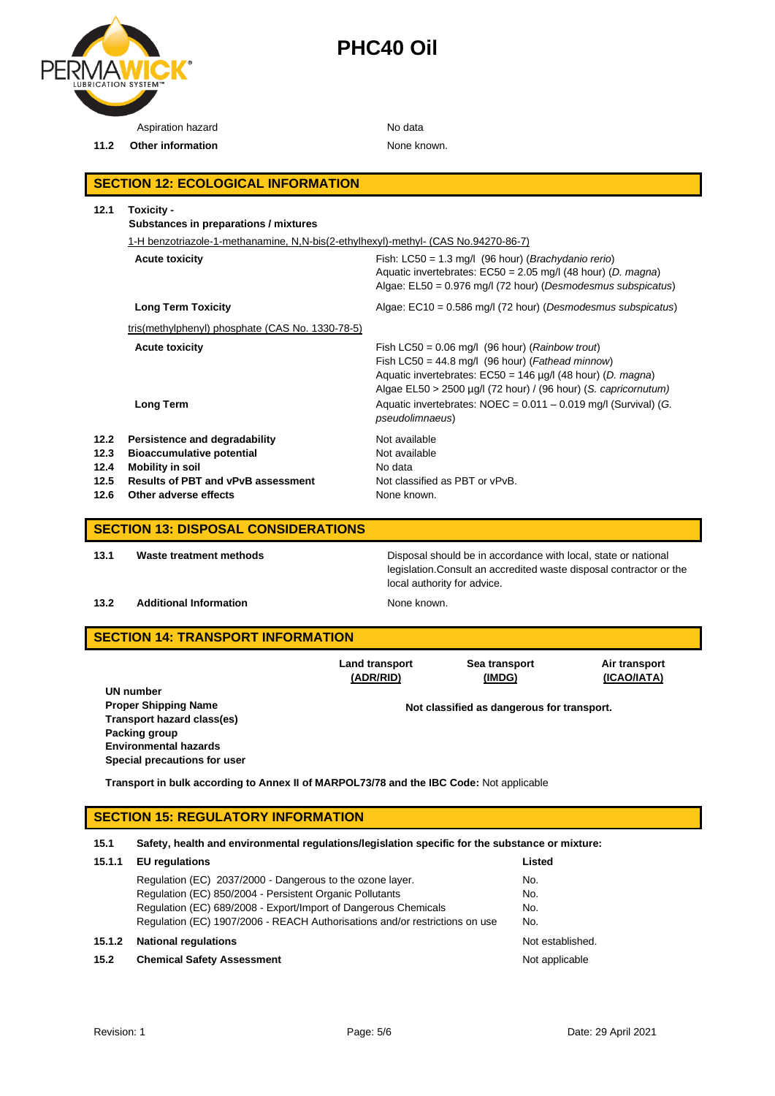

Aspiration hazard No data

**11.2 Other information** None known.

## **SECTION 12: ECOLOGICAL INFORMATION**

|              | 1-H benzotriazole-1-methanamine, N,N-bis(2-ethylhexyl)-methyl- (CAS No.94270-86-7) |                                                                                                                                                                                                                                                                                                                                 |  |
|--------------|------------------------------------------------------------------------------------|---------------------------------------------------------------------------------------------------------------------------------------------------------------------------------------------------------------------------------------------------------------------------------------------------------------------------------|--|
|              | <b>Acute toxicity</b>                                                              | Fish: $LC50 = 1.3$ mg/l (96 hour) ( <i>Brachydanio rerio</i> )<br>Aquatic invertebrates: $EC50 = 2.05$ mg/l (48 hour) (D. magna)<br>Algae: EL50 = 0.976 mg/l (72 hour) (Desmodesmus subspicatus)                                                                                                                                |  |
|              | <b>Long Term Toxicity</b>                                                          | Algae: $EC10 = 0.586$ mg/l (72 hour) (Desmodesmus subspicatus)                                                                                                                                                                                                                                                                  |  |
|              | tris(methylphenyl) phosphate (CAS No. 1330-78-5)                                   |                                                                                                                                                                                                                                                                                                                                 |  |
|              | <b>Acute toxicity</b><br><b>Long Term</b>                                          | Fish LC50 = $0.06$ mg/l (96 hour) ( <i>Rainbow trout</i> )<br>Fish LC50 = 44.8 mg/l (96 hour) (Fathead minnow)<br>Aquatic invertebrates: $EC50 = 146 \mu g/l$ (48 hour) (D. magna)<br>Algae $EL50 > 2500 \mu g/l$ (72 hour) / (96 hour) (S. capricornutum)<br>Aquatic invertebrates: $NOEC = 0.011 - 0.019$ mg/l (Survival) (G. |  |
|              |                                                                                    | <i>pseudolimnaeus</i> )                                                                                                                                                                                                                                                                                                         |  |
| 12.2         | Persistence and degradability                                                      | Not available                                                                                                                                                                                                                                                                                                                   |  |
| 12.3<br>12.4 | <b>Bioaccumulative potential</b>                                                   | Not available<br>No data                                                                                                                                                                                                                                                                                                        |  |
| 12.5         | <b>Mobility in soil</b><br><b>Results of PBT and vPvB assessment</b>               | Not classified as PBT or vPvB.                                                                                                                                                                                                                                                                                                  |  |
| 12.6         | Other adverse effects                                                              | None known.                                                                                                                                                                                                                                                                                                                     |  |

### **SECTION 13: DISPOSAL CONSIDERATIONS**

**13.1 Waste treatment methods** Disposal should be in accordance with local, state or national

## legislation.Consult an accredited waste disposal contractor or the local authority for advice.

## **13.2 Additional Information None known.**

## **SECTION 14: TRANSPORT INFORMATION**

| <b>Land transport</b> | Sea transport                              | Air transport |
|-----------------------|--------------------------------------------|---------------|
| (ADR/RID)             | (IMDG)                                     | (ICAO/IATA)   |
|                       | Not classified as dangerous for transport. |               |

**UN number Proper Shipping Name Transport hazard class(es) Packing group Environmental hazards Special precautions for user**

**Transport in bulk according to Annex II of MARPOL73/78 and the IBC Code:** Not applicable

## **SECTION 15: REGULATORY INFORMATION**

## **15.1 Safety, health and environmental regulations/legislation specific for the substance or mixture:**

| 15.1.1 | <b>EU</b> regulations                                                       | Listed           |
|--------|-----------------------------------------------------------------------------|------------------|
|        | Regulation (EC) 2037/2000 - Dangerous to the ozone layer.                   | No.              |
|        | Regulation (EC) 850/2004 - Persistent Organic Pollutants                    | No.              |
|        | Regulation (EC) 689/2008 - Export/Import of Dangerous Chemicals             | No.              |
|        | Regulation (EC) 1907/2006 - REACH Authorisations and/or restrictions on use | No.              |
| 15.1.2 | <b>National regulations</b>                                                 | Not established. |
| 15.2   | <b>Chemical Safety Assessment</b>                                           | Not applicable   |